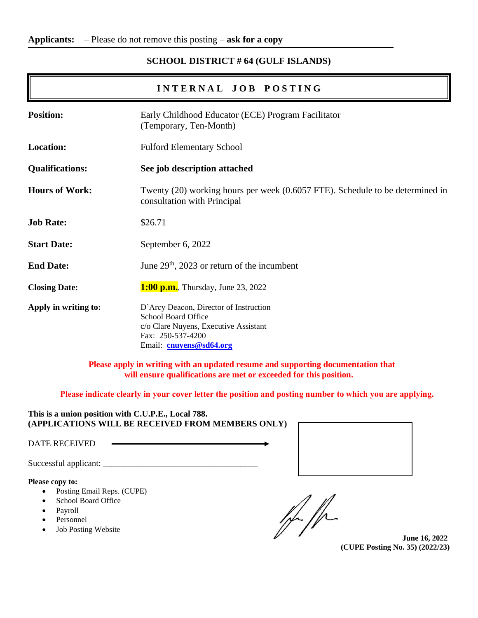# **SCHOOL DISTRICT # 64 (GULF ISLANDS)**

# **I N T E R N A L J O B P O S T I N G**

| <b>Position:</b>       | Early Childhood Educator (ECE) Program Facilitator<br>(Temporary, Ten-Month)                                                                                  |  |
|------------------------|---------------------------------------------------------------------------------------------------------------------------------------------------------------|--|
| <b>Location:</b>       | <b>Fulford Elementary School</b>                                                                                                                              |  |
| <b>Qualifications:</b> | See job description attached                                                                                                                                  |  |
| <b>Hours of Work:</b>  | Twenty (20) working hours per week (0.6057 FTE). Schedule to be determined in<br>consultation with Principal                                                  |  |
| <b>Job Rate:</b>       | \$26.71                                                                                                                                                       |  |
| <b>Start Date:</b>     | September 6, 2022                                                                                                                                             |  |
| <b>End Date:</b>       | June $29th$ , 2023 or return of the incumbent                                                                                                                 |  |
| <b>Closing Date:</b>   | <b>1:00 p.m.</b> , Thursday, June 23, 2022                                                                                                                    |  |
| Apply in writing to:   | D'Arcy Deacon, Director of Instruction<br><b>School Board Office</b><br>c/o Clare Nuyens, Executive Assistant<br>Fax: 250-537-4200<br>Email: cnuyens@sd64.org |  |

**Please apply in writing with an updated resume and supporting documentation that will ensure qualifications are met or exceeded for this position.**

**Please indicate clearly in your cover letter the position and posting number to which you are applying.**

**This is a union position with C.U.P.E., Local 788. (APPLICATIONS WILL BE RECEIVED FROM MEMBERS ONLY)**

DATE RECEIVED

Successful applicant: \_\_\_\_\_\_\_\_\_\_\_\_\_\_\_\_\_\_\_\_\_\_\_\_\_\_\_\_\_\_\_\_\_\_\_\_

**Please copy to:**

- Posting Email Reps. (CUPE)
- School Board Office
- Payroll
- Personnel
- Job Posting Website

 $\frac{1}{r}$ 

**June 16, 2022 (CUPE Posting No. 35) (2022/23)**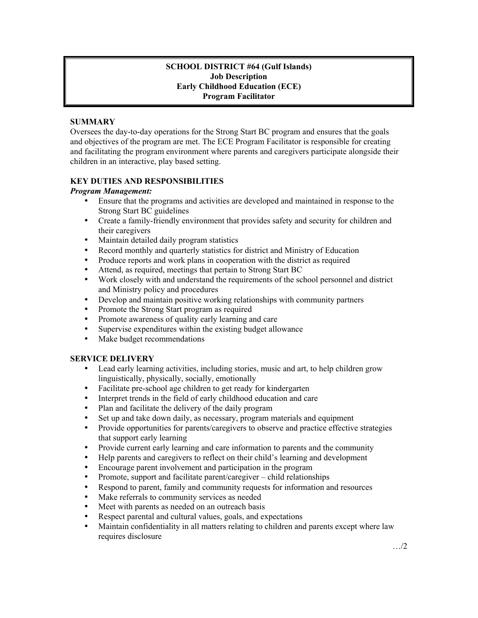### **SCHOOL DISTRICT #64 (Gulf Islands) Job Description Early Childhood Education (ECE) Program Facilitator**

## **SUMMARY**

Oversees the day-to-day operations for the Strong Start BC program and ensures that the goals and objectives of the program are met. The ECE Program Facilitator is responsible for creating and facilitating the program environment where parents and caregivers participate alongside their children in an interactive, play based setting.

## **KEY DUTIES AND RESPONSIBILITIES**

### *Program Management:*

- Ensure that the programs and activities are developed and maintained in response to the Strong Start BC guidelines
- Create a family-friendly environment that provides safety and security for children and their caregivers
- Maintain detailed daily program statistics
- Record monthly and quarterly statistics for district and Ministry of Education
- Produce reports and work plans in cooperation with the district as required
- Attend, as required, meetings that pertain to Strong Start BC
- Work closely with and understand the requirements of the school personnel and district and Ministry policy and procedures
- Develop and maintain positive working relationships with community partners<br>• Promote the Strong Start program as required
- Promote the Strong Start program as required
- Promote awareness of quality early learning and care
- Supervise expenditures within the existing budget allowance
- Make budget recommendations

# **SERVICE DELIVERY**

- Lead early learning activities, including stories, music and art, to help children grow linguistically, physically, socially, emotionally
- Facilitate pre-school age children to get ready for kindergarten
- Interpret trends in the field of early childhood education and care
- Plan and facilitate the delivery of the daily program
- Set up and take down daily, as necessary, program materials and equipment
- Provide opportunities for parents/caregivers to observe and practice effective strategies that support early learning
- Provide current early learning and care information to parents and the community
- Help parents and caregivers to reflect on their child's learning and development
- Encourage parent involvement and participation in the program
- Promote, support and facilitate parent/caregiver child relationships
- Respond to parent, family and community requests for information and resources
- Make referrals to community services as needed
- Meet with parents as needed on an outreach basis
- Respect parental and cultural values, goals, and expectations
- Maintain confidentiality in all matters relating to children and parents except where law requires disclosure